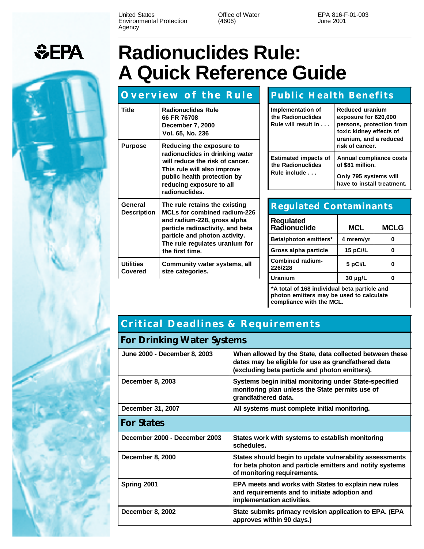United States Environmental Protection Agency

Office of Water (4606)

EPA 816-F-01-003 June 2001

## **Radionuclides Rule: A Quick Reference Guide**

|                                                                                                       | <b>Overview of the Rule</b>                                                                                                                                                                                | <b>Public Health Benefits</b>                                    |                                                                                                                                 |             |
|-------------------------------------------------------------------------------------------------------|------------------------------------------------------------------------------------------------------------------------------------------------------------------------------------------------------------|------------------------------------------------------------------|---------------------------------------------------------------------------------------------------------------------------------|-------------|
| <b>Title</b>                                                                                          | <b>Radionuclides Rule</b><br>66 FR 76708<br>December 7, 2000<br>Vol. 65, No. 236                                                                                                                           | Implementation of<br>the Radionuclides<br>Rule will result in    | <b>Reduced uranium</b><br>exposure for 620,000<br>persons, protection from<br>toxic kidney effects of<br>uranium, and a reduced |             |
| <b>Purpose</b>                                                                                        | Reducing the exposure to<br>radionuclides in drinking water<br>will reduce the risk of cancer.<br>This rule will also improve<br>public health protection by<br>reducing exposure to all<br>radionuclides. |                                                                  | risk of cancer.                                                                                                                 |             |
|                                                                                                       |                                                                                                                                                                                                            | <b>Estimated impacts of</b><br>the Radionuclides<br>Rule include | Annual compliance costs<br>of \$81 million.                                                                                     |             |
|                                                                                                       |                                                                                                                                                                                                            |                                                                  | Only 795 systems will<br>have to install treatment.                                                                             |             |
|                                                                                                       |                                                                                                                                                                                                            |                                                                  |                                                                                                                                 |             |
| General<br>The rule retains the existing<br><b>MCLs for combined radium-226</b><br><b>Description</b> |                                                                                                                                                                                                            | <b>Regulated Contaminants</b>                                    |                                                                                                                                 |             |
|                                                                                                       | and radium-228, gross alpha<br>particle radioactivity, and beta<br>particle and photon activity.<br>The rule regulates uranium for<br>the first time.                                                      | <b>Regulated</b><br>Radionuclide                                 | <b>MCL</b>                                                                                                                      | <b>MCLG</b> |
|                                                                                                       |                                                                                                                                                                                                            | Beta/photon emitters*                                            | 4 mrem/yr                                                                                                                       | 0           |
|                                                                                                       |                                                                                                                                                                                                            | Gross alpha particle                                             | 15 pCi/L                                                                                                                        | $\bf{0}$    |
| <b>Utilities</b><br><b>Covered</b>                                                                    | Community water systems, all<br>size categories.                                                                                                                                                           | <b>Combined radium-</b><br>226/228                               | 5 pCi/L                                                                                                                         | 0           |
|                                                                                                       |                                                                                                                                                                                                            | <b>Uranium</b>                                                   | $30 \mu g/L$                                                                                                                    | $\bf{0}$    |

**\*A total of 168 individual beta particle and photon emitters may be used to calculate compliance with the MCL.**

## **Critical Deadlines & Requirements**

|  | For Drinking Water Systems |  |
|--|----------------------------|--|
|  |                            |  |

| June 2000 - December 8, 2003  | When allowed by the State, data collected between these<br>dates may be eligible for use as grandfathered data<br>(excluding beta particle and photon emitters). |  |
|-------------------------------|------------------------------------------------------------------------------------------------------------------------------------------------------------------|--|
| December 8, 2003              | Systems begin initial monitoring under State-specified<br>monitoring plan unless the State permits use of<br>grandfathered data.                                 |  |
| December 31, 2007             | All systems must complete initial monitoring.                                                                                                                    |  |
| <b>For States</b>             |                                                                                                                                                                  |  |
| December 2000 - December 2003 | States work with systems to establish monitoring<br>schedules.                                                                                                   |  |
| December 8, 2000              | States should begin to update vulnerability assessments<br>for beta photon and particle emitters and notify systems<br>of monitoring requirements.               |  |
| Spring 2001                   | EPA meets and works with States to explain new rules<br>and requirements and to initiate adoption and<br>implementation activities.                              |  |
| December 8, 2002              | State submits primacy revision application to EPA. (EPA<br>approves within 90 days.)                                                                             |  |